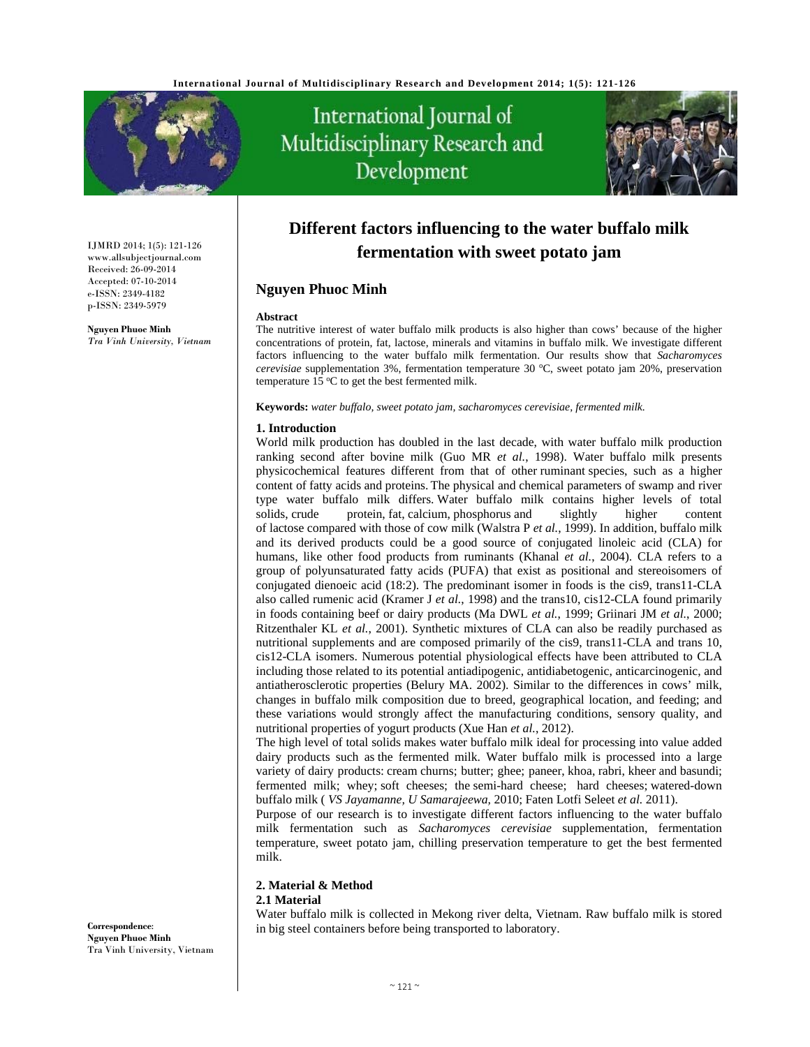

IJMRD 2014; 1(5): 121-126 www.allsubjectjournal.com Received: 26-09-2014 Accepted: 07-10-2014 e-ISSN: 2349-4182 p-ISSN: 2349-5979 **Nguyen Phuoc Minh** *Tra Vinh University, Vietnam* 

# International Journal of Multidisciplinary Research and Development



# **Different factors influencing to the water buffalo milk fermentation with sweet potato jam**

#### **Nguyen Phuoc Minh**

#### **Abstract**

The nutritive interest of water buffalo milk products is also higher than cows' because of the higher concentrations of protein, fat, lactose, minerals and vitamins in buffalo milk. We investigate different factors influencing to the water buffalo milk fermentation. Our results show that *Sacharomyces*  cerevisiae supplementation 3%, fermentation temperature 30 °C, sweet potato jam 20%, preservation temperature  $15 \,^{\circ}\text{C}$  to get the best fermented milk.

**Keywords:** *water buffalo, sweet potato jam, sacharomyces cerevisiae, fermented milk.* 

#### **1. Introduction**

World milk production has doubled in the last decade, with water buffalo milk production ranking second after bovine milk (Guo MR *et al.*, 1998). Water buffalo milk presents physicochemical features different from that of other ruminant species, such as a higher content of fatty acids and proteins. The physical and chemical parameters of swamp and river type water buffalo milk differs. Water buffalo milk contains higher levels of total solids, crude protein, fat, calcium, phosphorus and slightly higher content of lactose compared with those of cow milk (Walstra P *et al.*, 1999). In addition, buffalo milk and its derived products could be a good source of conjugated linoleic acid (CLA) for humans, like other food products from ruminants (Khanal *et al.*, 2004). CLA refers to a group of polyunsaturated fatty acids (PUFA) that exist as positional and stereoisomers of conjugated dienoeic acid (18:2). The predominant isomer in foods is the cis9, trans11-CLA also called rumenic acid (Kramer J *et al.*, 1998) and the trans10, cis12-CLA found primarily in foods containing beef or dairy products (Ma DWL *et al.*, 1999; Griinari JM *et al.*, 2000; Ritzenthaler KL *et al.*, 2001). Synthetic mixtures of CLA can also be readily purchased as nutritional supplements and are composed primarily of the cis9, trans11-CLA and trans 10, cis12-CLA isomers. Numerous potential physiological effects have been attributed to CLA including those related to its potential antiadipogenic, antidiabetogenic, anticarcinogenic, and antiatherosclerotic properties (Belury MA. 2002). Similar to the differences in cows' milk, changes in buffalo milk composition due to breed, geographical location, and feeding; and these variations would strongly affect the manufacturing conditions, sensory quality, and nutritional properties of yogurt products (Xue Han *et al.*, 2012).

The high level of total solids makes water buffalo milk ideal for processing into value added dairy products such as the fermented milk. Water buffalo milk is processed into a large variety of dairy products: cream churns; butter; ghee; paneer, khoa, rabri, kheer and basundi; fermented milk; whey; soft cheeses; the semi-hard cheese; hard cheeses; watered-down buffalo milk ( *VS Jayamanne, U Samarajeewa,* 2010; Faten Lotfi Seleet *et al.* 2011).

Purpose of our research is to investigate different factors influencing to the water buffalo milk fermentation such as *Sacharomyces cerevisiae* supplementation, fermentation temperature, sweet potato jam, chilling preservation temperature to get the best fermented milk.

# **2. Material & Method**

**2.1 Material** 

Water buffalo milk is collected in Mekong river delta, Vietnam. Raw buffalo milk is stored in big steel containers before being transported to laboratory.

**Correspondence**: **Nguyen Phuoc Minh**  Tra Vinh University, Vietnam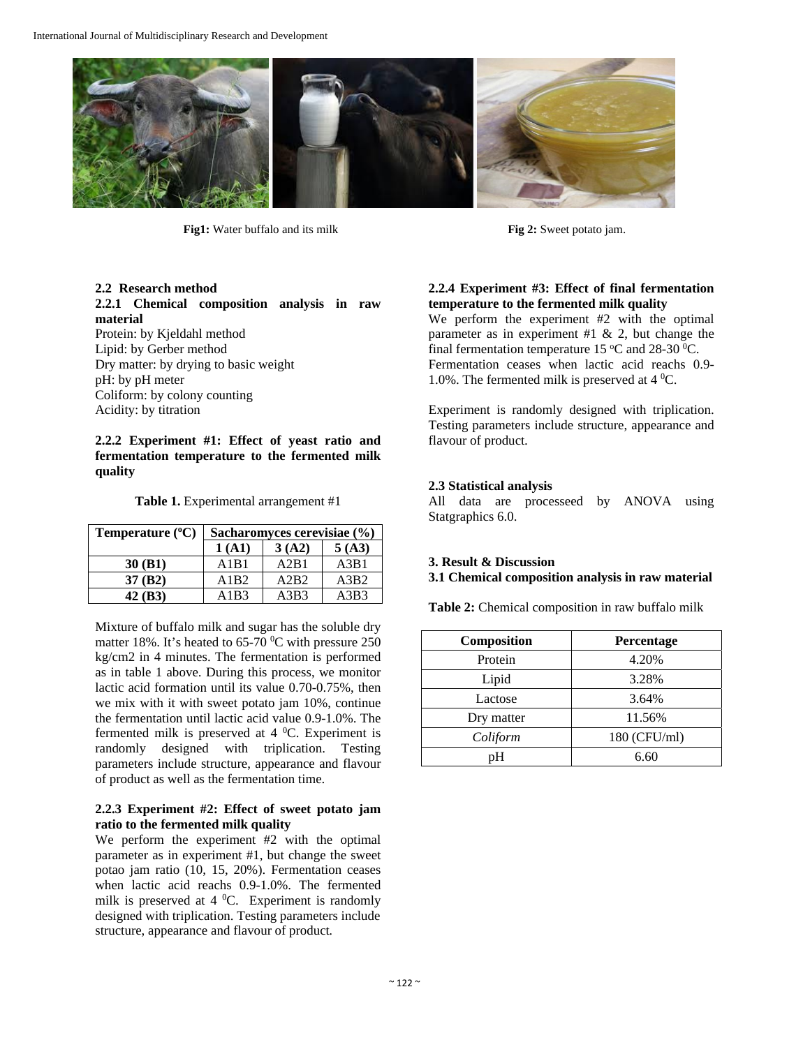

**Fig1:** Water buffalo and its milk **Fig 2:** Sweet potato jam.

# **2.2 Research method**

**2.2.1 Chemical composition analysis in raw material** 

Protein: by Kjeldahl method Lipid: by Gerber method Dry matter: by drying to basic weight pH: by pH meter Coliform: by colony counting Acidity: by titration

**2.2.2 Experiment #1: Effect of yeast ratio and fermentation temperature to the fermented milk quality**

**Table 1.** Experimental arrangement #1

| Temperature $(^{\circ}C)$ | Sacharomyces cerevisiae (%) |       |       |
|---------------------------|-----------------------------|-------|-------|
|                           | 1(A1)                       | 3(A2) | 5(A3) |
| 30(B1)                    | A1B1                        | A2B1  | A3B1  |
| 37(B2)                    | A1B2                        | A2B2  | A3B2  |
| 42 (B3)                   | A1B3                        | A3B3  | A3B3  |

Mixture of buffalo milk and sugar has the soluble dry matter 18%. It's heated to 65-70  $\rm{^0C}$  with pressure 250 kg/cm2 in 4 minutes. The fermentation is performed as in table 1 above. During this process, we monitor lactic acid formation until its value 0.70-0.75%, then we mix with it with sweet potato jam 10%, continue the fermentation until lactic acid value 0.9-1.0%. The fermented milk is preserved at  $4^{\circ}$ C. Experiment is randomly designed with triplication. Testing parameters include structure, appearance and flavour of product as well as the fermentation time.

#### **2.2.3 Experiment #2: Effect of sweet potato jam ratio to the fermented milk quality**

We perform the experiment #2 with the optimal parameter as in experiment #1, but change the sweet potao jam ratio (10, 15, 20%). Fermentation ceases when lactic acid reachs 0.9-1.0%. The fermented milk is preserved at  $4^{\circ}$ C. Experiment is randomly designed with triplication. Testing parameters include structure, appearance and flavour of product*.* 

**2.2.4 Experiment #3: Effect of final fermentation temperature to the fermented milk quality** 

We perform the experiment #2 with the optimal parameter as in experiment #1  $\&$  2, but change the final fermentation temperature 15  $\mathrm{^{\circ}C}$  and 28-30  $\mathrm{^{\circ}C}$ . Fermentation ceases when lactic acid reachs 0.9- 1.0%. The fermented milk is preserved at  $4^{\circ}$ C.

Experiment is randomly designed with triplication. Testing parameters include structure, appearance and flavour of product*.* 

### **2.3 Statistical analysis**

All data are processeed by ANOVA using Statgraphics 6.0.

# **3. Result & Discussion**

**3.1 Chemical composition analysis in raw material** 

**Table 2:** Chemical composition in raw buffalo milk

| <b>Composition</b> | Percentage   |
|--------------------|--------------|
| Protein            | 4.20%        |
| Lipid              | 3.28%        |
| Lactose            | 3.64%        |
| Dry matter         | 11.56%       |
| Coliform           | 180 (CFU/ml) |
| nН                 | 6.60         |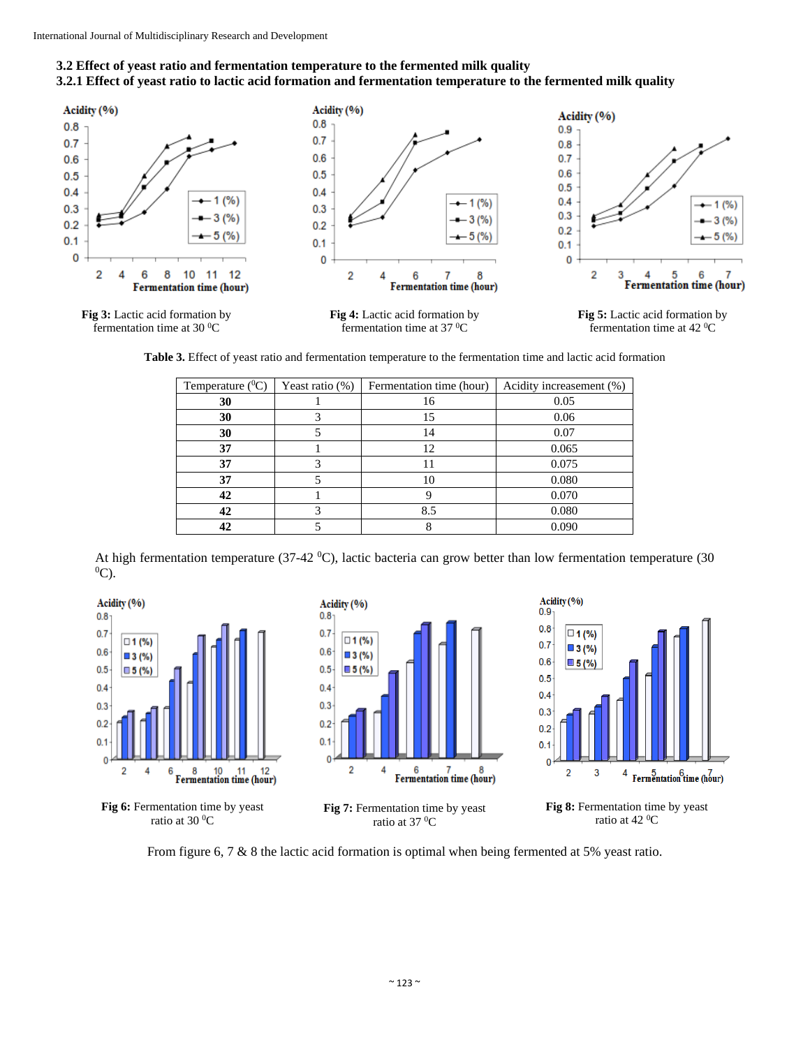fermentation time at 30 $\mathrm{^{0}C}$ 

# **3.2 Effect of yeast ratio and fermentation temperature to the fermented milk quality**

### **3.2.1 Effect of yeast ratio to lactic acid formation and fermentation temperature to the fermented milk quality**









**Table 3.** Effect of yeast ratio and fermentation temperature to the fermentation time and lactic acid formation

| Temperature $(^0C)$ | Yeast ratio $(\%)$ | Fermentation time (hour) | Acidity increasement (%) |
|---------------------|--------------------|--------------------------|--------------------------|
| 30                  |                    | 16                       | 0.05                     |
| 30                  |                    | 15                       | 0.06                     |
| 30                  |                    | 14                       | 0.07                     |
| 37                  |                    | 12                       | 0.065                    |
| 37                  |                    | 11                       | 0.075                    |
| 37                  |                    | 10                       | 0.080                    |
| 42                  |                    |                          | 0.070                    |
| 42                  |                    | 8.5                      | 0.080                    |
|                     |                    |                          | 0.090                    |

At high fermentation temperature (37-42 <sup>0</sup>C), lactic bacteria can grow better than low fermentation temperature (30  $^{0}C$ )  $^0C$ ).





**Fig 8:** Fermentation time by yeast ratio at 42 <sup>o</sup>C

From figure 6, 7 & 8 the lactic acid formation is optimal when being fermented at 5% yeast ratio.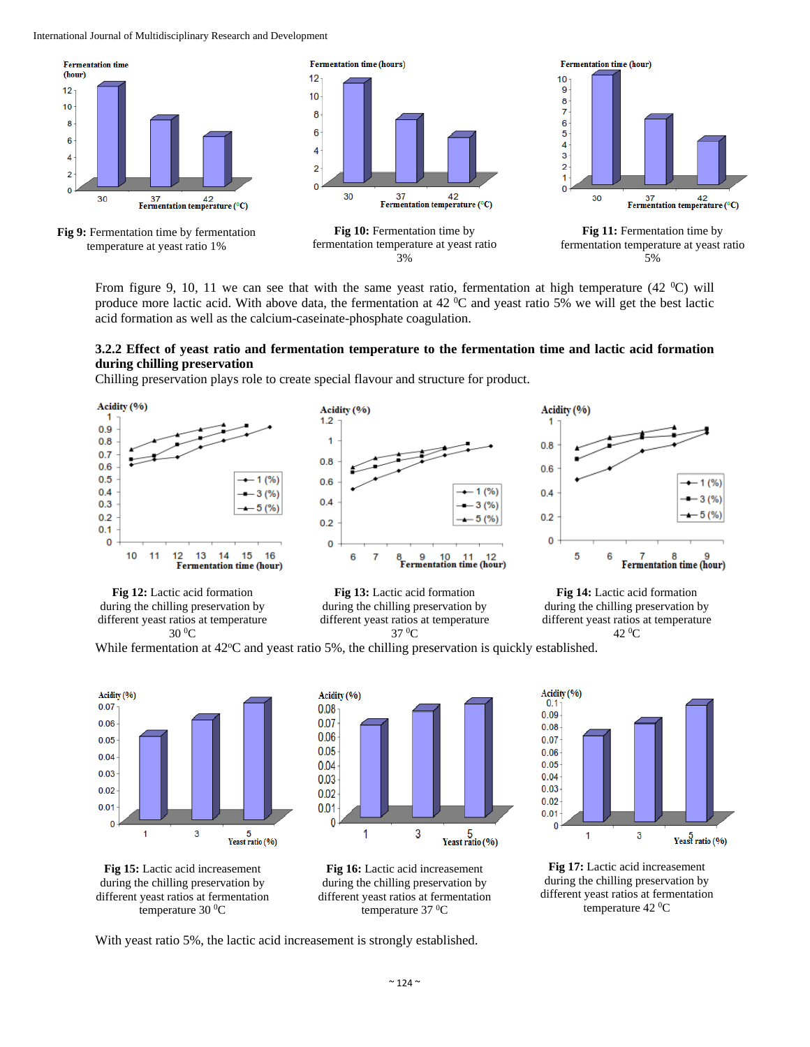International Journal of Multidisciplinary Research and Development



From figure 9, 10, 11 we can see that with the same yeast ratio, fermentation at high temperature (42  $^{\circ}$ C) will produce more lactic acid. With above data, the fermentation at  $42 \degree C$  and yeast ratio 5% we will get the best lactic acid formation as well as the calcium-caseinate-phosphate coagulation.

#### **3.2.2 Effect of yeast ratio and fermentation temperature to the fermentation time and lactic acid formation during chilling preservation**

Chilling preservation plays role to create special flavour and structure for product.





**Fig 13:** Lactic acid formation during the chilling preservation by different yeast ratios at temperature 37 0C

**Fig 14:** Lactic acid formation during the chilling preservation by different yeast ratios at temperature 42 0C

While fermentation at  $42^{\circ}$ C and yeast ratio 5%, the chilling preservation is quickly established.











**Fig 17:** Lactic acid increasement during the chilling preservation by different yeast ratios at fermentation temperature 42 °C

With yeast ratio 5%, the lactic acid increasement is strongly established.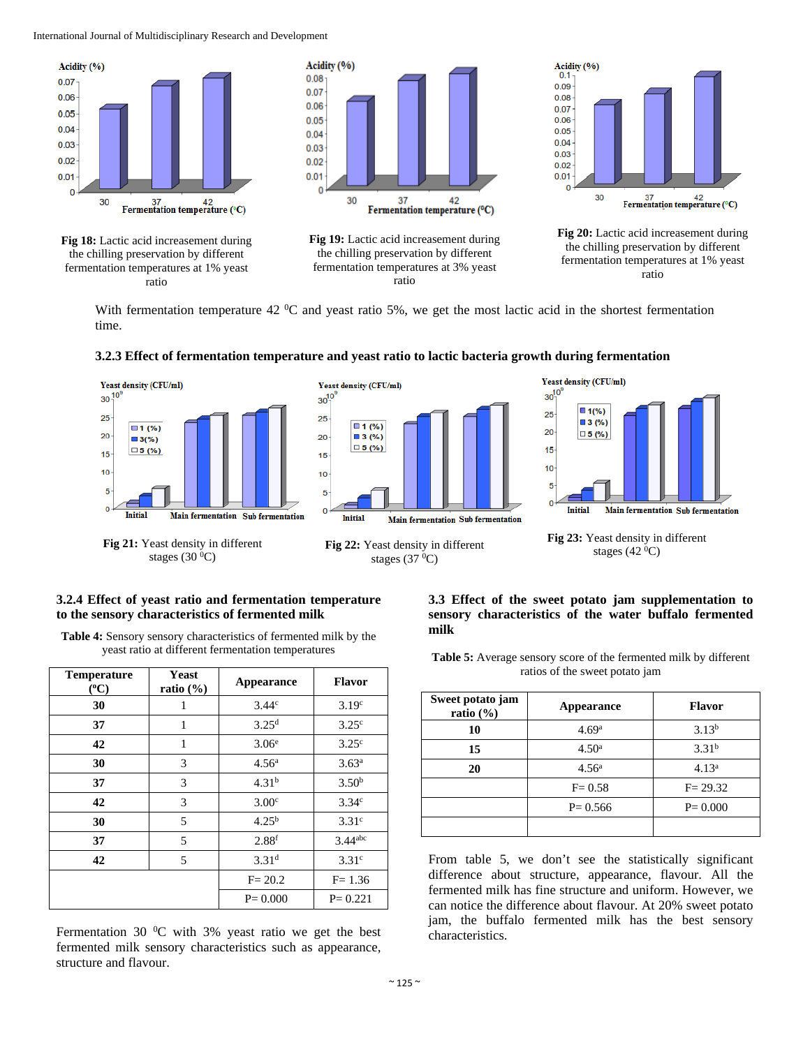International Journal of Multidisciplinary Research and Development



With fermentation temperature 42  $\rm{^0C}$  and yeast ratio 5%, we get the most lactic acid in the shortest fermentation time.



#### **3.2.3 Effect of fermentation temperature and yeast ratio to lactic bacteria growth during fermentation**





#### **3.2.4 Effect of yeast ratio and fermentation temperature to the sensory characteristics of fermented milk**

stages  $(30\text{ °C})$ 

**Table 4:** Sensory sensory characteristics of fermented milk by the yeast ratio at different fermentation temperatures

| <b>Temperature</b><br>$(^{o}C)$ | <b>Yeast</b><br>ratio $(\% )$ | <b>Appearance</b> | <b>Flavor</b>         |
|---------------------------------|-------------------------------|-------------------|-----------------------|
| 30                              | 1                             | 3.44 <sup>c</sup> | 3.19 <sup>c</sup>     |
| 37                              | 1                             | 3.25 <sup>d</sup> | 3.25 <sup>c</sup>     |
| 42                              | 1                             | 3.06 <sup>e</sup> | 3.25 <sup>c</sup>     |
| 30                              | 3                             | 4.56 <sup>a</sup> | 3.63 <sup>a</sup>     |
| 37                              | 3                             | 4.31 <sup>b</sup> | 3.50 <sup>b</sup>     |
| 42                              | 3                             | 3.00 <sup>c</sup> | 3.34 <sup>c</sup>     |
| 30                              | 5                             | $4.25^{b}$        | 3.31 <sup>c</sup>     |
| 37                              | 5                             | 2.88 <sup>f</sup> | $3.44$ <sup>abc</sup> |
| 42                              | 5                             | 3.31 <sup>d</sup> | 3.31 <sup>c</sup>     |
|                                 |                               | $F = 20.2$        | $F = 1.36$            |
|                                 |                               | $P = 0.000$       | $P = 0.221$           |

Fermentation 30 $\mathrm{^0C}$  with 3% yeast ratio we get the best fermented milk sensory characteristics such as appearance, structure and flavour.

#### **3.3 Effect of the sweet potato jam supplementation to sensory characteristics of the water buffalo fermented milk**

Table 5: Average sensory score of the fermented milk by different ratios of the sweet potato jam

| Sweet potato jam<br>ratio $(\% )$ | Appearance        | <b>Flavor</b>     |
|-----------------------------------|-------------------|-------------------|
| 10                                | 4.69 <sup>a</sup> | $3.13^{b}$        |
| 15                                | 4.50 <sup>a</sup> | 3.31 <sup>b</sup> |
| 20                                | 4.56 <sup>a</sup> | 4.13 <sup>a</sup> |
|                                   | $F = 0.58$        | $F = 29.32$       |
|                                   | $P = 0.566$       | $P = 0.000$       |
|                                   |                   |                   |

From table 5, we don't see the statistically significant difference about structure, appearance, flavour. All the fermented milk has fine structure and uniform. However, we can notice the difference about flavour. At 20% sweet potato jam, the buffalo fermented milk has the best sensory characteristics.

**Fig 22:** Yeast density in different stages  $(37<sup>0</sup>C)$